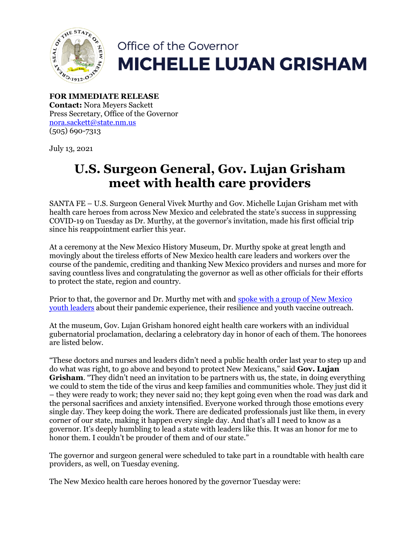

## Office of the Governor **MICHELLE LUJAN GRISHAM**

**FOR IMMEDIATE RELEASE Contact:** Nora Meyers Sackett Press Secretary, Office of the Governor [nora.sackett@state.nm.us](mailto:nora.sackett@state.nm.us) (505) 690-7313

July 13, 2021

## **U.S. Surgeon General, Gov. Lujan Grisham meet with health care providers**

SANTA FE – U.S. Surgeon General Vivek Murthy and Gov. Michelle Lujan Grisham met with health care heroes from across New Mexico and celebrated the state's success in suppressing COVID-19 on Tuesday as Dr. Murthy, at the governor's invitation, made his first official trip since his reappointment earlier this year.

At a ceremony at the New Mexico History Museum, Dr. Murthy spoke at great length and movingly about the tireless efforts of New Mexico health care leaders and workers over the course of the pandemic, crediting and thanking New Mexico providers and nurses and more for saving countless lives and congratulating the governor as well as other officials for their efforts to protect the state, region and country.

Prior to that, the governor and Dr. Murthy met with and [spoke with a group of New Mexico](https://twitter.com/GovMLG/status/1415094797073674246)  [youth leaders](https://twitter.com/GovMLG/status/1415094797073674246) about their pandemic experience, their resilience and youth vaccine outreach.

At the museum, Gov. Lujan Grisham honored eight health care workers with an individual gubernatorial proclamation, declaring a celebratory day in honor of each of them. The honorees are listed below.

"These doctors and nurses and leaders didn't need a public health order last year to step up and do what was right, to go above and beyond to protect New Mexicans," said **Gov. Lujan Grisham.** "They didn't need an invitation to be partners with us, the state, in doing everything we could to stem the tide of the virus and keep families and communities whole. They just did it – they were ready to work; they never said no; they kept going even when the road was dark and the personal sacrifices and anxiety intensified. Everyone worked through those emotions every single day. They keep doing the work. There are dedicated professionals just like them, in every corner of our state, making it happen every single day. And that's all I need to know as a governor. It's deeply humbling to lead a state with leaders like this. It was an honor for me to honor them. I couldn't be prouder of them and of our state."

The governor and surgeon general were scheduled to take part in a roundtable with health care providers, as well, on Tuesday evening.

The New Mexico health care heroes honored by the governor Tuesday were: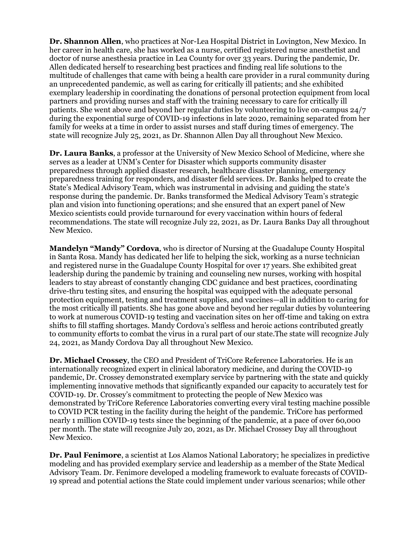**Dr. Shannon Allen**, who practices at Nor-Lea Hospital District in Lovington, New Mexico. In her career in health care, she has worked as a nurse, certified registered nurse anesthetist and doctor of nurse anesthesia practice in Lea County for over 33 years. During the pandemic, Dr. Allen dedicated herself to researching best practices and finding real life solutions to the multitude of challenges that came with being a health care provider in a rural community during an unprecedented pandemic, as well as caring for critically ill patients; and she exhibited exemplary leadership in coordinating the donations of personal protection equipment from local partners and providing nurses and staff with the training necessary to care for critically ill patients. She went above and beyond her regular duties by volunteering to live on-campus 24/7 during the exponential surge of COVID-19 infections in late 2020, remaining separated from her family for weeks at a time in order to assist nurses and staff during times of emergency. The state will recognize July 25, 2021, as Dr. Shannon Allen Day all throughout New Mexico.

**Dr. Laura Banks**, a professor at the University of New Mexico School of Medicine, where she serves as a leader at UNM's Center for Disaster which supports community disaster preparedness through applied disaster research, healthcare disaster planning, emergency preparedness training for responders, and disaster field services. Dr. Banks helped to create the State's Medical Advisory Team, which was instrumental in advising and guiding the state's response during the pandemic. Dr. Banks transformed the Medical Advisory Team's strategic plan and vision into functioning operations; and she ensured that an expert panel of New Mexico scientists could provide turnaround for every vaccination within hours of federal recommendations. The state will recognize July 22, 2021, as Dr. Laura Banks Day all throughout New Mexico.

**Mandelyn "Mandy" Cordova**, who is director of Nursing at the Guadalupe County Hospital in Santa Rosa. Mandy has dedicated her life to helping the sick, working as a nurse technician and registered nurse in the Guadalupe County Hospital for over 17 years. She exhibited great leadership during the pandemic by training and counseling new nurses, working with hospital leaders to stay abreast of constantly changing CDC guidance and best practices, coordinating drive-thru testing sites, and ensuring the hospital was equipped with the adequate personal protection equipment, testing and treatment supplies, and vaccines—all in addition to caring for the most critically ill patients. She has gone above and beyond her regular duties by volunteering to work at numerous COVID-19 testing and vaccination sites on her off-time and taking on extra shifts to fill staffing shortages. Mandy Cordova's selfless and heroic actions contributed greatly to community efforts to combat the virus in a rural part of our state.The state will recognize July 24, 2021, as Mandy Cordova Day all throughout New Mexico.

**Dr. Michael Crossey**, the CEO and President of TriCore Reference Laboratories. He is an internationally recognized expert in clinical laboratory medicine, and during the COVID-19 pandemic, Dr. Crossey demonstrated exemplary service by partnering with the state and quickly implementing innovative methods that significantly expanded our capacity to accurately test for COVID-19. Dr. Crossey's commitment to protecting the people of New Mexico was demonstrated by TriCore Reference Laboratories converting every viral testing machine possible to COVID PCR testing in the facility during the height of the pandemic. TriCore has performed nearly 1 million COVID-19 tests since the beginning of the pandemic, at a pace of over 60,000 per month. The state will recognize July 20, 2021, as Dr. Michael Crossey Day all throughout New Mexico.

**Dr. Paul Fenimore**, a scientist at Los Alamos National Laboratory; he specializes in predictive modeling and has provided exemplary service and leadership as a member of the State Medical Advisory Team. Dr. Fenimore developed a modeling framework to evaluate forecasts of COVID-19 spread and potential actions the State could implement under various scenarios; while other